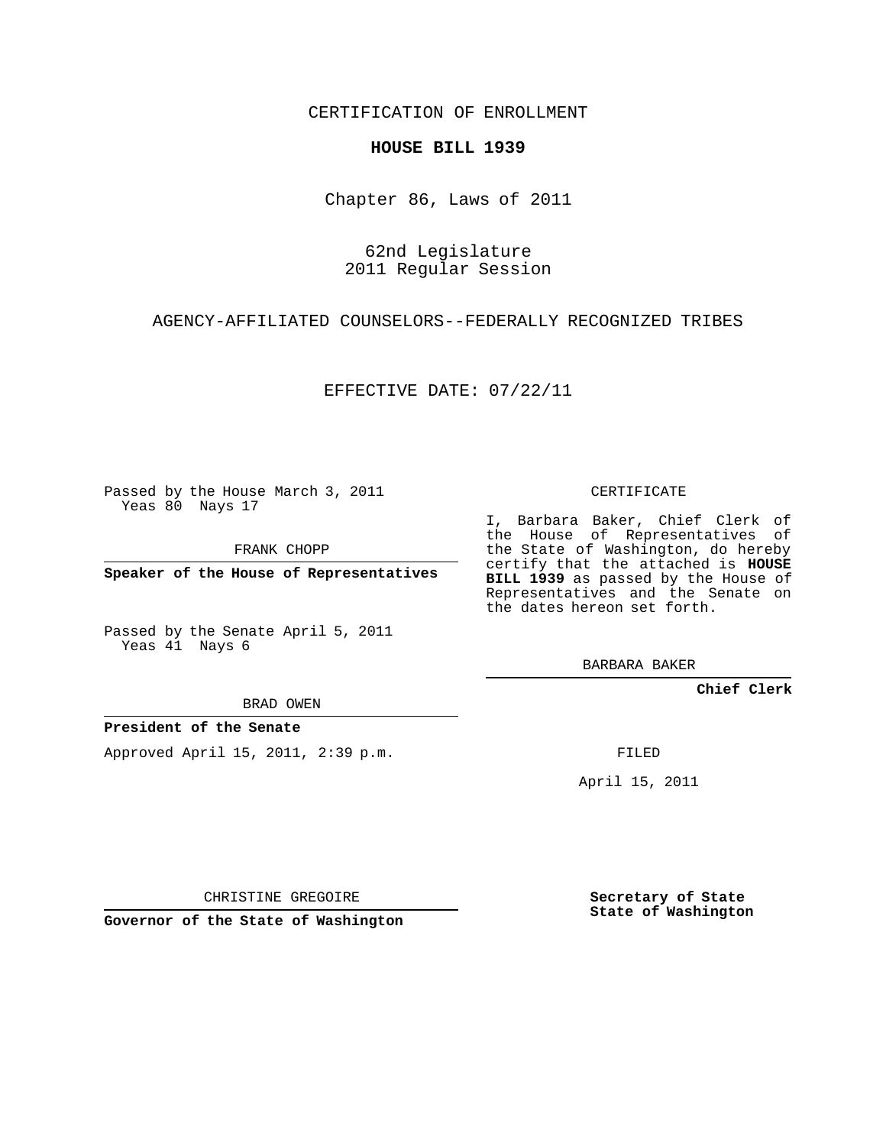CERTIFICATION OF ENROLLMENT

## **HOUSE BILL 1939**

Chapter 86, Laws of 2011

62nd Legislature 2011 Regular Session

AGENCY-AFFILIATED COUNSELORS--FEDERALLY RECOGNIZED TRIBES

EFFECTIVE DATE: 07/22/11

Passed by the House March 3, 2011 Yeas 80 Nays 17

FRANK CHOPP

**Speaker of the House of Representatives**

Passed by the Senate April 5, 2011 Yeas 41 Nays 6

BRAD OWEN

## **President of the Senate**

Approved April 15, 2011, 2:39 p.m.

CERTIFICATE

I, Barbara Baker, Chief Clerk of the House of Representatives of the State of Washington, do hereby certify that the attached is **HOUSE BILL 1939** as passed by the House of Representatives and the Senate on the dates hereon set forth.

BARBARA BAKER

**Chief Clerk**

FILED

April 15, 2011

CHRISTINE GREGOIRE

**Governor of the State of Washington**

**Secretary of State State of Washington**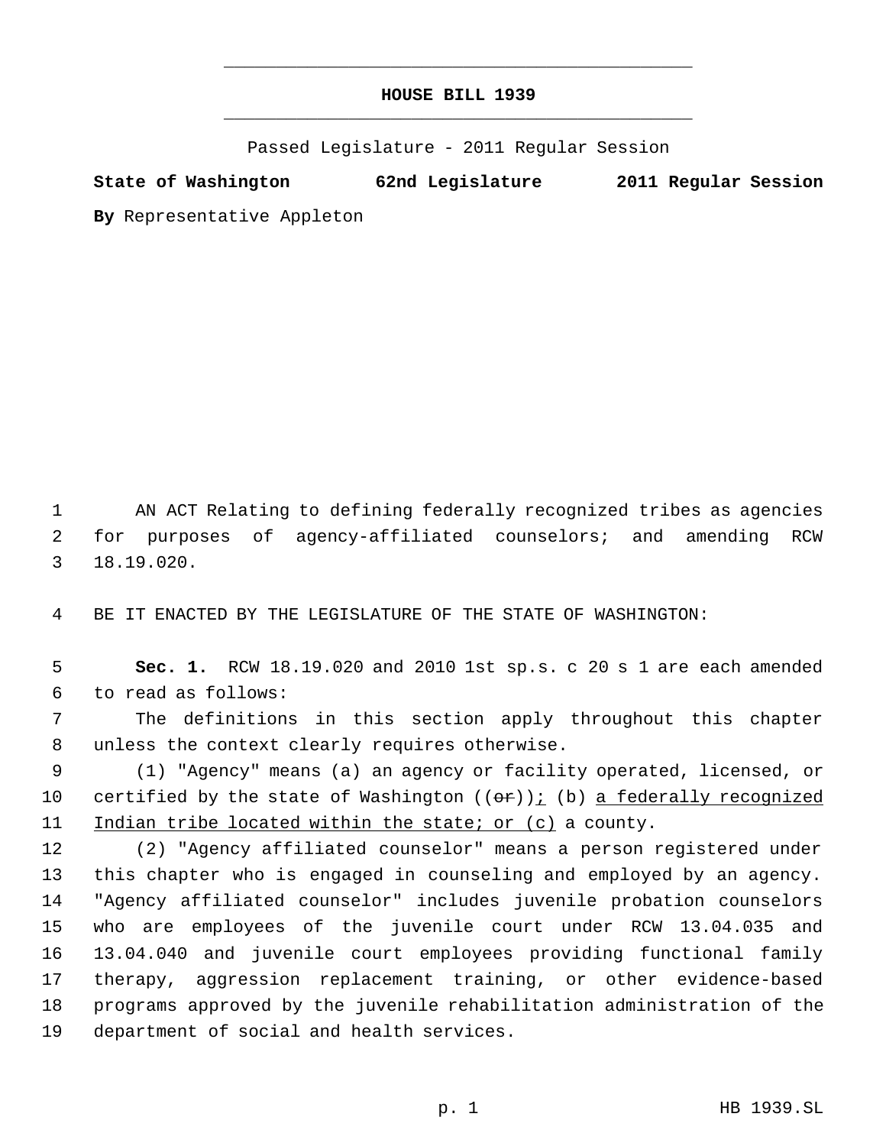## **HOUSE BILL 1939** \_\_\_\_\_\_\_\_\_\_\_\_\_\_\_\_\_\_\_\_\_\_\_\_\_\_\_\_\_\_\_\_\_\_\_\_\_\_\_\_\_\_\_\_\_

\_\_\_\_\_\_\_\_\_\_\_\_\_\_\_\_\_\_\_\_\_\_\_\_\_\_\_\_\_\_\_\_\_\_\_\_\_\_\_\_\_\_\_\_\_

Passed Legislature - 2011 Regular Session

**State of Washington 62nd Legislature 2011 Regular Session**

**By** Representative Appleton

 AN ACT Relating to defining federally recognized tribes as agencies for purposes of agency-affiliated counselors; and amending RCW 18.19.020.

BE IT ENACTED BY THE LEGISLATURE OF THE STATE OF WASHINGTON:

 **Sec. 1.** RCW 18.19.020 and 2010 1st sp.s. c 20 s 1 are each amended to read as follows:

 The definitions in this section apply throughout this chapter unless the context clearly requires otherwise.

 (1) "Agency" means (a) an agency or facility operated, licensed, or 10 certified by the state of Washington  $((\theta \cdot \mathbf{r}))$  (b) a federally recognized 11 Indian tribe located within the state; or (c) a county.

 (2) "Agency affiliated counselor" means a person registered under this chapter who is engaged in counseling and employed by an agency. "Agency affiliated counselor" includes juvenile probation counselors who are employees of the juvenile court under RCW 13.04.035 and 13.04.040 and juvenile court employees providing functional family therapy, aggression replacement training, or other evidence-based programs approved by the juvenile rehabilitation administration of the department of social and health services.